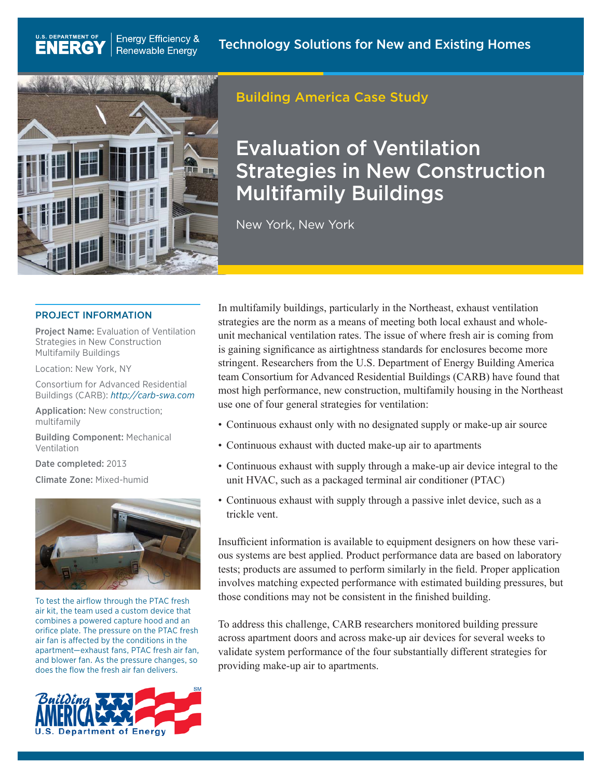

**Energy Efficiency &** 

**Renewable Energy** 

**U.S. DEPARTMENT OF** 

ENERG

## Building America Case Study

# Evaluation of Ventilation Strategies in New Construction Multifamily Buildings

New York, New York

#### PROJECT INFORMATION

Project Name: Evaluation of Ventilation Strategies in New Construction Multifamily Buildings

Location: New York, NY

Consortium for Advanced Residential Buildings (CARB): *<http://carb-swa.com>*

Application: New construction; multifamily

Building Component: Mechanical Ventilation

Date completed: 2013

Climate Zone: Mixed-humid



To test the airflow through the PTAC fresh air kit, the team used a custom device that combines a powered capture hood and an orifice plate. The pressure on the PTAC fresh air fan is affected by the conditions in the apartment—exhaust fans, PTAC fresh air fan, and blower fan. As the pressure changes, so does the flow the fresh air fan delivers.



In multifamily buildings, particularly in the Northeast, exhaust ventilation strategies are the norm as a means of meeting both local exhaust and wholeunit mechanical ventilation rates. The issue of where fresh air is coming from is gaining significance as airtightness standards for enclosures become more stringent. Researchers from the U.S. Department of Energy Building America team Consortium for Advanced Residential Buildings (CARB) have found that most high performance, new construction, multifamily housing in the Northeast use one of four general strategies for ventilation:

- Continuous exhaust only with no designated supply or make-up air source
- Continuous exhaust with ducted make-up air to apartments
- Continuous exhaust with supply through a make-up air device integral to the unit HVAC, such as a packaged terminal air conditioner (PTAC)
- Continuous exhaust with supply through a passive inlet device, such as a trickle vent.

Insufficient information is available to equipment designers on how these various systems are best applied. Product performance data are based on laboratory tests; products are assumed to perform similarly in the field. Proper application involves matching expected performance with estimated building pressures, but those conditions may not be consistent in the finished building.

To address this challenge, CARB researchers monitored building pressure across apartment doors and across make-up air devices for several weeks to validate system performance of the four substantially different strategies for providing make-up air to apartments.